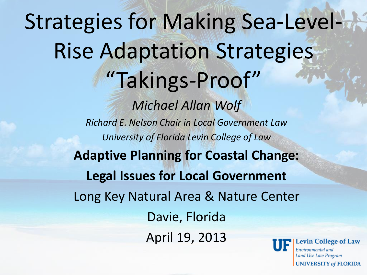#### Strategies for Making Sea-Level-Rise Adaptation Strategies "Takings-Proof" *Michael Allan Wolf Richard E. Nelson Chair in Local Government Law University of Florida Levin College of Law* **Adaptive Planning for Coastal Change: Legal Issues for Local Government** Long Key Natural Area & Nature Center Davie, Florida April 19, 2013 evin College of Law

Environmental and Land Use Law Program **UNIVERSITY of FLORIDA**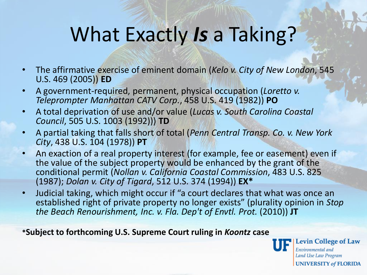#### What Exactly *Is* a Taking?

- The affirmative exercise of eminent domain (*Kelo v. City of New London*, 545 U.S. 469 (2005)) **ED**
- A government-required, permanent, physical occupation (*Loretto v. Teleprompter Manhattan CATV Corp.*, 458 U.S. 419 (1982)) **PO**
- A total deprivation of use and/or value (*Lucas v. South Carolina Coastal Council*, 505 U.S. 1003 (1992))) **TD**
- A partial taking that falls short of total (*Penn Central Transp. Co. v. New York City*, 438 U.S. 104 (1978)) **PT**
- An exaction of a real property interest (for example, fee or easement) even if the value of the subject property would be enhanced by the grant of the conditional permit (*Nollan v. California Coastal Commission*, 483 U.S. 825 (1987); *Dolan v. City of Tigard*, 512 U.S. 374 (1994)) **EX\***
- Judicial taking, which might occur if "a court declares that what was once an established right of private property no longer exists" (plurality opinion in *Stop the Beach Renourishment, Inc. v. Fla. Dep't of Envtl. Prot.* (2010)) **JT**

**\*Subject to forthcoming U.S. Supreme Court ruling in** *Koontz* **case**



**Levin College of Law** Environmental and Land Use Law Program **UNIVERSITY of FLORIDA**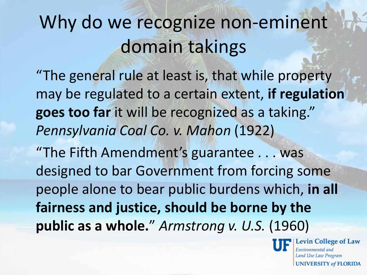## Why do we recognize non-eminent domain takings

"The general rule at least is, that while property may be regulated to a certain extent, **if regulation goes too far** it will be recognized as a taking." *Pennsylvania Coal Co. v. Mahon* (1922)

"The Fifth Amendment's guarantee . . . was designed to bar Government from forcing some people alone to bear public burdens which, **in all fairness and justice, should be borne by the public as a whole.**" *Armstrong v. U.S.* (1960)



vin College of Law Environmental and **Land Use Law Program UNIVERSITY of FLORIDA**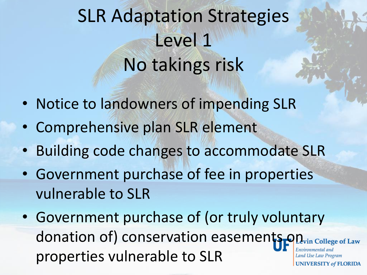# SLR Adaptation Strategies Level 1 No takings risk

- Notice to landowners of impending SLR
- Comprehensive plan SLR element
- Building code changes to accommodate SLR
- Government purchase of fee in properties vulnerable to SLR
- Government purchase of (or truly voluntary donation of) conservation easements on lege of Law Environmental and properties vulnerable to SLR**Land Use Law Program UNIVERSITY of FLORIDA**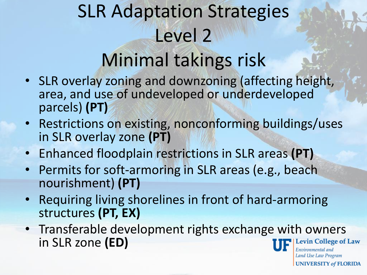## SLR Adaptation Strategies Level 2 Minimal takings risk

- SLR overlay zoning and downzoning (affecting height, area, and use of undeveloped or underdeveloped parcels) **(PT)**
- Restrictions on existing, nonconforming buildings/uses in SLR overlay zone **(PT)**
- Enhanced floodplain restrictions in SLR areas **(PT)**
- Permits for soft-armoring in SLR areas (e.g., beach nourishment) **(PT)**
- Requiring living shorelines in front of hard-armoring structures **(PT, EX)**
- Transferable development rights exchange with owners in SLR zone **(ED)**evin College of Law

Environmental and Land Use Law Program **UNIVERSITY of FLORIDA**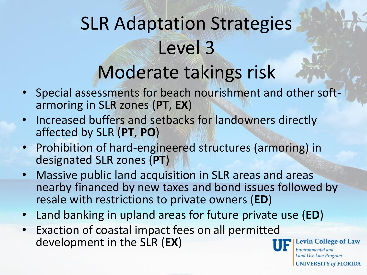## SLR Adaptation Strategies Level 3 Moderate takings risk

- Special assessments for beach nourishment and other softarmoring in SLR zones (**PT**, **EX**)
- Increased buffers and setbacks for landowners directly affected by SLR (**PT**, **PO**)
- Prohibition of hard-engineered structures (armoring) in designated SLR zones (**PT**)
- Massive public land acquisition in SLR areas and areas nearby financed by new taxes and bond issues followed by resale with restrictions to private owners (**ED**)
- Land banking in upland areas for future private use (**ED**)
- Exaction of coastal impact fees on all permitted development in the SLR (**EX**)



evin College of Law Environmental and Land Use Law Program **UNIVERSITY of FLORIDA**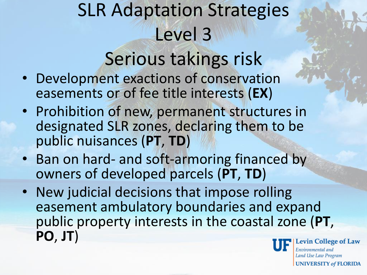# SLR Adaptation Strategies Level 3

#### Serious takings risk

- Development exactions of conservation easements or of fee title interests (**EX**)
- Prohibition of new, permanent structures in designated SLR zones, declaring them to be public nuisances (**PT**, **TD**)
- Ban on hard- and soft-armoring financed by owners of developed parcels (**PT**, **TD**)
- New judicial decisions that impose rolling easement ambulatory boundaries and expand public property interests in the coastal zone (**PT**, **PO**, **JT**)evin College of Law

Environmental and Land Use Law Program **UNIVERSITY of FLORIDA**